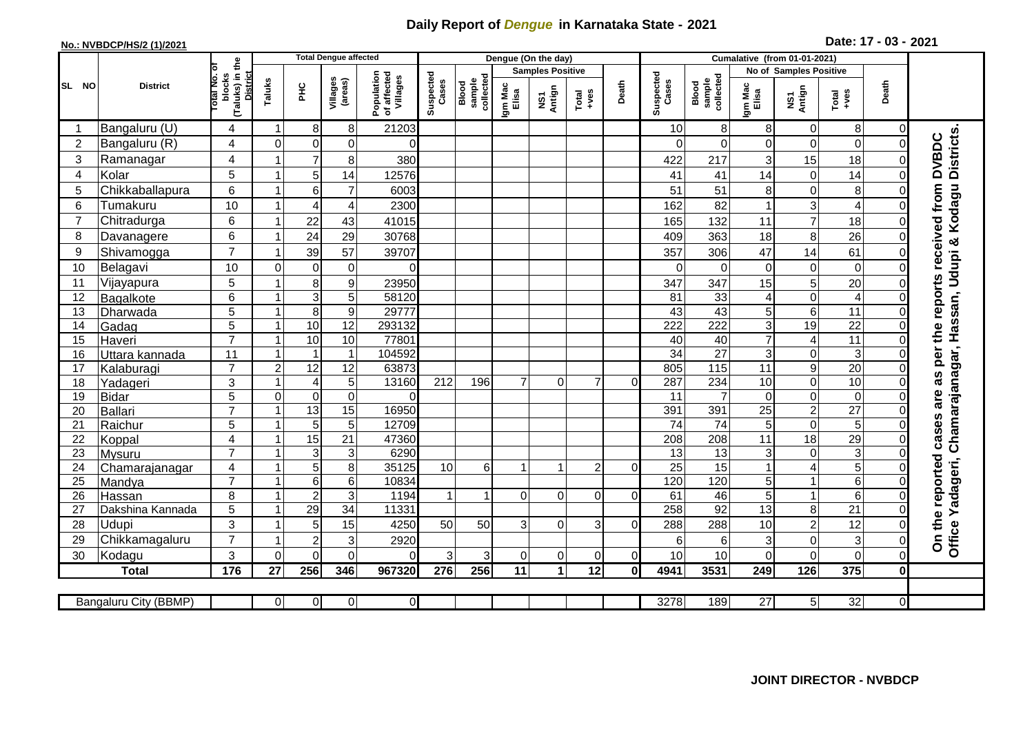## **Daily Report of** *Dengue* **in Karnataka State - 2021**

## **No.: NVBDCP/HS/2 (1)/2021**

**2021 Date: 17 - 03 -**

|                 |                            |                                                             |                |                         | <b>Total Dengue affected</b> |                                       |                    |                              |                         | Dengue (On the day)                       |                |          |                    |                              |                  |                         |                         |              |                                                                                    |
|-----------------|----------------------------|-------------------------------------------------------------|----------------|-------------------------|------------------------------|---------------------------------------|--------------------|------------------------------|-------------------------|-------------------------------------------|----------------|----------|--------------------|------------------------------|------------------|-------------------------|-------------------------|--------------|------------------------------------------------------------------------------------|
|                 |                            |                                                             |                |                         |                              |                                       | Suspected<br>Cases | collected<br>sample<br>Blood | <b>Samples Positive</b> |                                           |                |          |                    |                              |                  | No of Samples Positive  |                         |              |                                                                                    |
| SL NO           | <b>District</b>            | (Taluks) in the<br>otal No. of<br><b>District</b><br>blocks | Taluks         | Ξ                       | Villages<br>(areas)          | Population<br>of affected<br>Villages |                    |                              | Igm Mac<br>Elisa        | Antign<br>$\mathop{\mathsf{so}}\nolimits$ | Total<br>+ves  | Death    | Suspected<br>Cases | collected<br>sample<br>Blood | Igm Mac<br>Elisa | NS1<br>Antign           | $\frac{Total}{1}$       | Death        |                                                                                    |
| -1              | Bangaluru (U)              | 4                                                           |                | 8                       | 8                            | 21203                                 |                    |                              |                         |                                           |                |          | 10                 | 8                            | 8                | 0                       | 8 <sup>1</sup>          | 0            |                                                                                    |
| $\overline{2}$  | Bangaluru (R)              | 4                                                           | $\Omega$       | 0                       | $\pmb{0}$                    | $\Omega$                              |                    |                              |                         |                                           |                |          | 0                  | $\mathbf 0$                  | $\mathbf 0$      | 0                       | $\overline{0}$          |              | Office Yadageri, Chamarajanagar, Hassan, Udupi & Kodagu Districts.<br><b>DVBDC</b> |
| 3               | Ramanagar                  | 4                                                           |                | $\overline{7}$          | 8                            | 380                                   |                    |                              |                         |                                           |                |          | 422                | 217                          | 3                | 15                      | 18                      |              |                                                                                    |
| $\overline{4}$  | Kolar                      | 5                                                           |                | 5                       | 14                           | 12576                                 |                    |                              |                         |                                           |                |          | 41                 | 41                           | 14               | $\Omega$                | 14                      | O            |                                                                                    |
| 5               | Chikkaballapura            | 6                                                           |                | 6                       | $\overline{7}$               | 6003                                  |                    |                              |                         |                                           |                |          | 51                 | 51                           | 8                | 0                       | 8                       |              |                                                                                    |
| 6               | Tumakuru                   | 10                                                          |                | $\overline{A}$          | 4                            | 2300                                  |                    |                              |                         |                                           |                |          | 162                | 82                           | 1                | 3                       | $\overline{\mathbf{4}}$ |              |                                                                                    |
| 7               | Chitradurga                | 6                                                           |                | 22                      | 43                           | 41015                                 |                    |                              |                         |                                           |                |          | 165                | 132                          | 11               | $\overline{7}$          | 18                      |              |                                                                                    |
| 8               | Davanagere                 | 6                                                           |                | 24                      | 29                           | 30768                                 |                    |                              |                         |                                           |                |          | 409                | 363                          | 18               | 8                       | 26                      | O            |                                                                                    |
| 9               | Shivamogga                 | $\overline{7}$                                              |                | 39                      | 57                           | 39707                                 |                    |                              |                         |                                           |                |          | 357                | 306                          | 47               | 14                      | 61                      |              | received from                                                                      |
| 10              | Belagavi                   | 10                                                          | $\Omega$       | $\mathbf 0$             | $\mathbf 0$                  | 0                                     |                    |                              |                         |                                           |                |          | $\Omega$           | $\overline{0}$               | $\mathbf 0$      | $\Omega$                | $\overline{0}$          | O            |                                                                                    |
| 11              | Vijayapura                 | 5                                                           |                | 8                       | $\boldsymbol{9}$             | 23950                                 |                    |                              |                         |                                           |                |          | 347                | 347                          | 15               | 5                       | 20                      |              | reports                                                                            |
| 12              | Bagalkote                  | 6                                                           |                | 3                       | 5                            | 58120                                 |                    |                              |                         |                                           |                |          | 81                 | 33                           | $\overline{4}$   | $\mathbf 0$             | $\overline{4}$          |              |                                                                                    |
| $\overline{13}$ | Dharwada                   | $\overline{5}$                                              |                | 8                       | $\overline{9}$               | 29777                                 |                    |                              |                         |                                           |                |          | 43                 | 43                           | 5                | $6\phantom{1}$          | 11                      | 0            |                                                                                    |
| 14              | Gadag                      | $\overline{5}$                                              |                | 10                      | $\overline{12}$              | 293132                                |                    |                              |                         |                                           |                |          | 222                | 222                          | $\overline{3}$   | 19                      | 22                      | O            | the                                                                                |
| 15              | Haveri                     | $\overline{7}$                                              |                | 10                      | 10                           | 77801                                 |                    |                              |                         |                                           |                |          | 40                 | 40                           | $\overline{7}$   | $\boldsymbol{\Delta}$   | $\overline{11}$         | O            |                                                                                    |
| 16              | Uttara kannada             | 11                                                          |                | $\overline{\mathbf{1}}$ | $\mathbf{1}$                 | 104592                                |                    |                              |                         |                                           |                |          | $\overline{34}$    | $\overline{27}$              | 3                | $\Omega$                | $\mathbf{3}$            | O            | per                                                                                |
| 17              | Kalaburagi                 | $\overline{7}$                                              | $\overline{2}$ | $\overline{12}$         | $\overline{12}$              | 63873                                 |                    |                              |                         |                                           |                |          | 805                | 115                          | $\overline{11}$  | 9                       | $\overline{20}$         | O            |                                                                                    |
| 18              | Yadageri                   | 3                                                           |                | $\overline{4}$          | 5                            | 13160                                 | 212                | 196                          | $\overline{7}$          | 0                                         | $\overline{7}$ | $\Omega$ | 287                | 234                          | 10               | $\pmb{0}$               | 10                      | 0            | as                                                                                 |
| 19              | <b>Bidar</b>               | 5                                                           | $\mathbf 0$    | $\mathbf 0$             | $\boldsymbol{0}$             | 0                                     |                    |                              |                         |                                           |                |          | 11                 | 7                            | $\mathbf 0$      | 0                       | $\overline{0}$          | O            | are                                                                                |
| 20              | Ballari                    | $\overline{7}$                                              |                | 13                      | 15                           | 16950                                 |                    |                              |                         |                                           |                |          | 391                | 391                          | $\overline{25}$  | $\overline{c}$          | $\overline{27}$         | O            |                                                                                    |
| 21              | Raichur                    | 5                                                           |                | 5                       | 5                            | 12709                                 |                    |                              |                         |                                           |                |          | $\overline{74}$    | $\overline{74}$              | 5                | $\Omega$                | $\overline{5}$          | $\Omega$     | cases                                                                              |
| 22              | Koppal                     | $\overline{4}$                                              |                | $\overline{15}$         | $\overline{21}$              | 47360                                 |                    |                              |                         |                                           |                |          | 208                | 208                          | 11               | 18                      | 29                      | O            |                                                                                    |
| 23              | Mysuru                     | $\overline{7}$                                              |                | 3                       | 3                            | 6290                                  |                    |                              |                         | 1                                         |                |          | 13                 | 13                           | $\mathbf{3}$     | $\Omega$                | دن                      | $\Omega$     |                                                                                    |
| 24              | Chamarajanagar             | 4<br>$\overline{7}$                                         |                | 5<br>$6\phantom{1}$     | 8                            | 35125<br>10834                        | 10                 | 6                            |                         |                                           | $\overline{2}$ | $\Omega$ | 25<br>120          | $\overline{15}$<br>120       | $\mathbf{1}$     | 4<br>1                  | $\overline{5}$<br>6     | O<br>ŋ       |                                                                                    |
| 25<br>26        | Mandya                     | 8                                                           |                | $\overline{2}$          | $\,6$<br>3                   | 1194                                  | $\mathbf{1}$       | $\mathbf{1}$                 | $\Omega$                | $\Omega$                                  | $\Omega$       | $\Omega$ | 61                 | 46                           | 5<br>5           | $\overline{\mathbf{1}}$ | $6\phantom{.}$          | O            |                                                                                    |
| 27              | Hassan<br>Dakshina Kannada | 5                                                           |                | $\overline{29}$         | $\overline{34}$              | 11331                                 |                    |                              |                         |                                           |                |          | 258                | 92                           | $\overline{13}$  | 8                       | $\overline{21}$         |              |                                                                                    |
| 28              | Udupi                      | 3                                                           |                | 5                       | 15                           | 4250                                  | 50                 | 50                           | 3                       | 0                                         | 3 <sup>1</sup> | $\Omega$ | 288                | 288                          | 10               | $\overline{c}$          | 12                      | 0            |                                                                                    |
| 29              | Chikkamagaluru             | $\overline{7}$                                              |                | $\overline{c}$          | $\ensuremath{\mathsf{3}}$    | 2920                                  |                    |                              |                         |                                           |                |          | 6                  | 6                            | 3                | 0                       | 3                       | $\Omega$     | On the reported                                                                    |
| 30              | Kodagu                     | 3                                                           | $\Omega$       | $\Omega$                | $\overline{0}$               | $\Omega$                              | 3                  | 3                            | $\overline{0}$          | $\mathbf 0$                               | 0              | $\Omega$ | 10                 | 10                           | $\Omega$         | $\Omega$                | $\overline{0}$          | $\Omega$     |                                                                                    |
|                 | <b>Total</b>               | $\frac{1}{176}$                                             | 27             | 256                     | 346                          | 967320                                | 276                | 256                          | 11                      | $\blacktriangleleft$                      | 12             | 0I       | 4941               | 3531                         | 249              | 126                     | 375                     | $\mathbf{0}$ |                                                                                    |
|                 |                            |                                                             |                |                         |                              |                                       |                    |                              |                         |                                           |                |          |                    |                              |                  |                         |                         |              |                                                                                    |
|                 | Bangaluru City (BBMP)      |                                                             | $\Omega$       | $\overline{0}$          | $\mathbf 0$                  | οl                                    |                    |                              |                         |                                           |                |          | 3278               | 189                          | $\overline{27}$  | 5 <sup>1</sup>          | 32                      | $\Omega$     |                                                                                    |